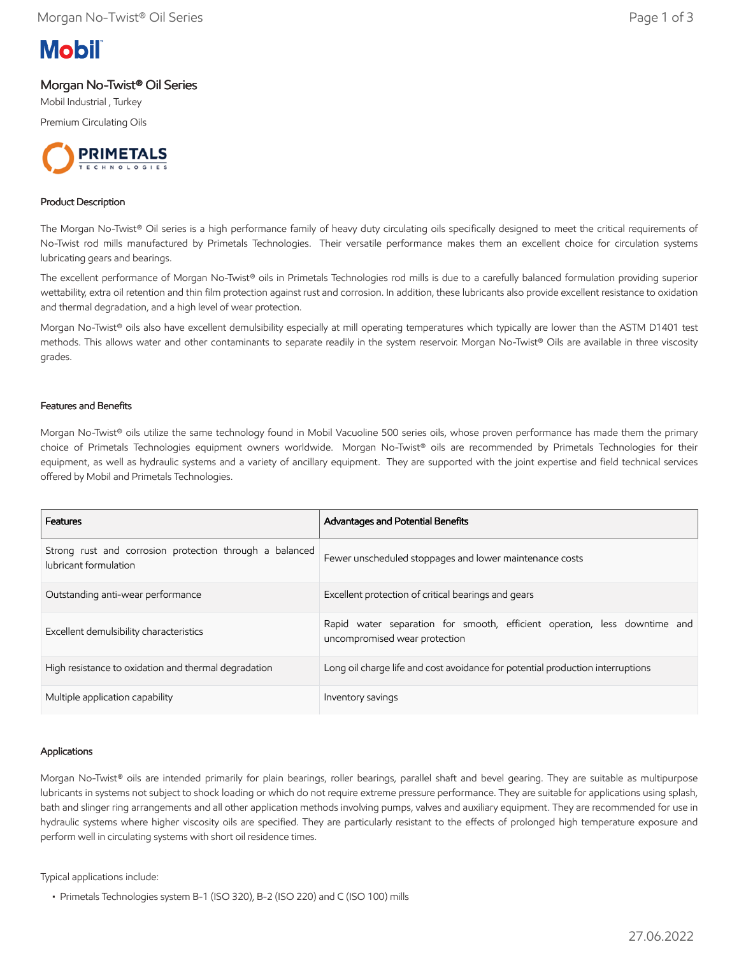

## Morgan No-Twist® Oil Series

Mobil Industrial , Turkey

Premium Circulating Oils



#### Product Description

The Morgan No-Twist® Oil series is a high performance family of heavy duty circulating oils specifically designed to meet the critical requirements of No-Twist rod mills manufactured by Primetals Technologies. Their versatile performance makes them an excellent choice for circulation systems lubricating gears and bearings.

The excellent performance of Morgan No-Twist® oils in Primetals Technologies rod mills is due to a carefully balanced formulation providing superior wettability, extra oil retention and thin film protection against rust and corrosion. In addition, these lubricants also provide excellent resistance to oxidation and thermal degradation, and a high level of wear protection.

Morgan No-Twist® oils also have excellent demulsibility especially at mill operating temperatures which typically are lower than the ASTM D1401 test methods. This allows water and other contaminants to separate readily in the system reservoir. Morgan No-Twist® Oils are available in three viscosity grades.

#### Features and Benefits

Morgan No-Twist® oils utilize the same technology found in Mobil Vacuoline 500 series oils, whose proven performance has made them the primary choice of Primetals Technologies equipment owners worldwide. Morgan No-Twist® oils are recommended by Primetals Technologies for their equipment, as well as hydraulic systems and a variety of ancillary equipment. They are supported with the joint expertise and field technical services offered by Mobil and Primetals Technologies.

| Features                                                                         | Advantages and Potential Benefits                                                                          |  |  |  |
|----------------------------------------------------------------------------------|------------------------------------------------------------------------------------------------------------|--|--|--|
| Strong rust and corrosion protection through a balanced<br>lubricant formulation | Fewer unscheduled stoppages and lower maintenance costs                                                    |  |  |  |
| Outstanding anti-wear performance                                                | Excellent protection of critical bearings and gears                                                        |  |  |  |
| Excellent demulsibility characteristics                                          | Rapid water separation for smooth, efficient operation, less downtime and<br>uncompromised wear protection |  |  |  |
| High resistance to oxidation and thermal degradation                             | Long oil charge life and cost avoidance for potential production interruptions                             |  |  |  |
| Multiple application capability                                                  | Inventory savings                                                                                          |  |  |  |

#### Applications

Morgan No-Twist® oils are intended primarily for plain bearings, roller bearings, parallel shaft and bevel gearing. They are suitable as multipurpose lubricants in systems not subject to shock loading or which do not require extreme pressure performance. They are suitable for applications using splash, bath and slinger ring arrangements and all other application methods involving pumps, valves and auxiliary equipment. They are recommended for use in hydraulic systems where higher viscosity oils are specified. They are particularly resistant to the effects of prolonged high temperature exposure and perform well in circulating systems with short oil residence times.

Typical applications include:

 <sup>•</sup> Primetals Technologies system B-1 (ISO 320), B-2 (ISO 220) and C (ISO 100) mills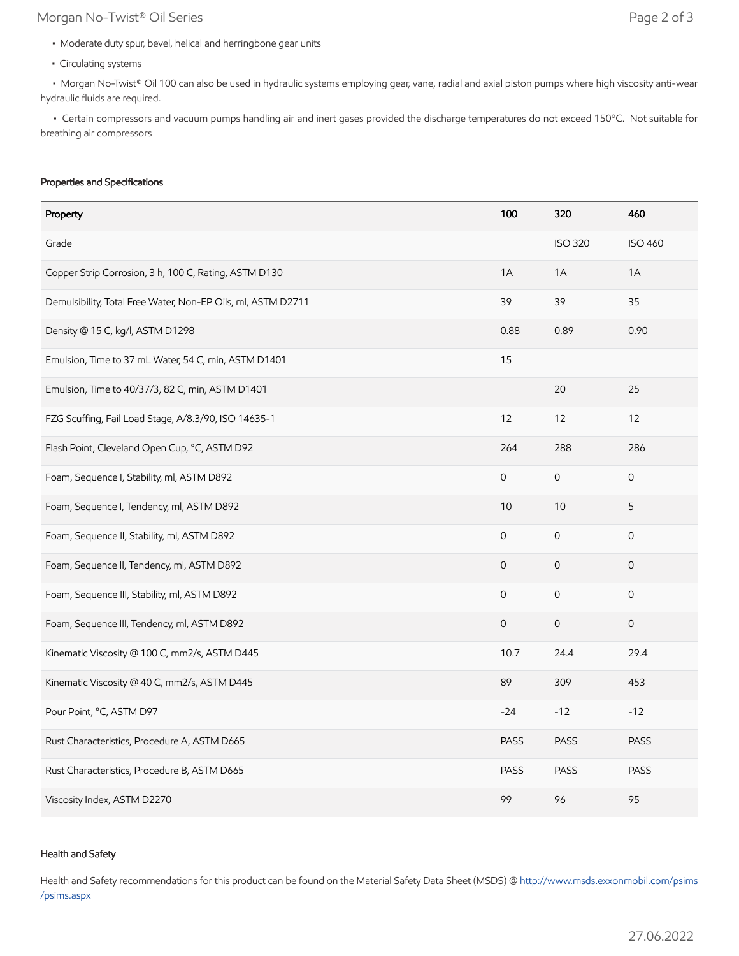# Morgan No-Twist® Oil Series **Page 2 of 3**

- Moderate duty spur, bevel, helical and herringbone gear units
- Circulating systems

 • Morgan No-Twist® Oil 100 can also be used in hydraulic systems employing gear, vane, radial and axial piston pumps where high viscosity anti-wear hydraulic fluids are required.

 • Certain compressors and vacuum pumps handling air and inert gases provided the discharge temperatures do not exceed 150ºC. Not suitable for breathing air compressors

#### Properties and Specifications

| Property                                                     | 100                 | 320                 | 460                 |
|--------------------------------------------------------------|---------------------|---------------------|---------------------|
| Grade                                                        |                     | <b>ISO 320</b>      | <b>ISO 460</b>      |
| Copper Strip Corrosion, 3 h, 100 C, Rating, ASTM D130        | 1A                  | 1A                  | 1A                  |
| Demulsibility, Total Free Water, Non-EP Oils, ml, ASTM D2711 | 39                  | 39                  | 35                  |
| Density @ 15 C, kg/l, ASTM D1298                             | 0.88                | 0.89                | 0.90                |
| Emulsion, Time to 37 mL Water, 54 C, min, ASTM D1401         | 15                  |                     |                     |
| Emulsion, Time to 40/37/3, 82 C, min, ASTM D1401             |                     | 20                  | 25                  |
| FZG Scuffing, Fail Load Stage, A/8.3/90, ISO 14635-1         | 12                  | 12                  | 12                  |
| Flash Point, Cleveland Open Cup, °C, ASTM D92                | 264                 | 288                 | 286                 |
| Foam, Sequence I, Stability, ml, ASTM D892                   | $\mathbf 0$         | $\mathsf{O}\xspace$ | $\mathbf 0$         |
| Foam, Sequence I, Tendency, ml, ASTM D892                    | 10                  | 10                  | 5                   |
| Foam, Sequence II, Stability, ml, ASTM D892                  | 0                   | $\mathsf{O}\xspace$ | 0                   |
| Foam, Sequence II, Tendency, ml, ASTM D892                   | $\mathbf 0$         | $\mathbf 0$         | $\mathsf{O}\xspace$ |
| Foam, Sequence III, Stability, ml, ASTM D892                 | $\mathsf{O}\xspace$ | $\mathsf{O}\xspace$ | $\mathsf{O}$        |
| Foam, Sequence III, Tendency, ml, ASTM D892                  | $\mathsf{O}\xspace$ | $\mathsf{O}\xspace$ | $\mathbf 0$         |
| Kinematic Viscosity @ 100 C, mm2/s, ASTM D445                | 10.7                | 24.4                | 29.4                |
| Kinematic Viscosity @ 40 C, mm2/s, ASTM D445                 | 89                  | 309                 | 453                 |
| Pour Point, °C, ASTM D97                                     | $-24$               | $-12$               | $-12$               |
| Rust Characteristics, Procedure A, ASTM D665                 | <b>PASS</b>         | <b>PASS</b>         | <b>PASS</b>         |
| Rust Characteristics, Procedure B, ASTM D665                 | <b>PASS</b>         | <b>PASS</b>         | <b>PASS</b>         |
| Viscosity Index, ASTM D2270                                  | 99                  | 96                  | 95                  |

#### Health and Safety

Health and Safety recommendations for this product can be found on the Material Safety Data Sheet (MSDS) @ [http://www.msds.exxonmobil.com/psims](http://www.msds.exxonmobil.com/psims/psims.aspx) /psims.aspx